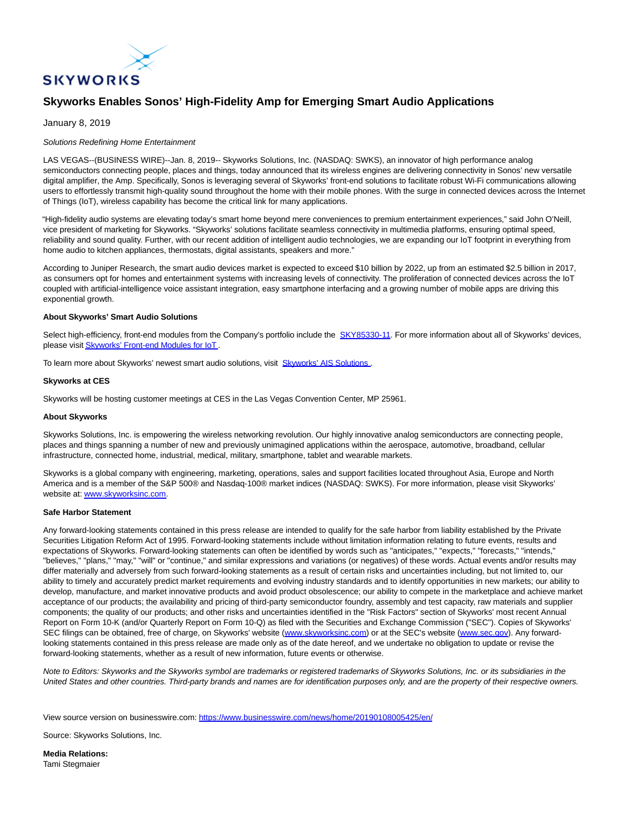

# **Skyworks Enables Sonos' High-Fidelity Amp for Emerging Smart Audio Applications**

# January 8, 2019

# Solutions Redefining Home Entertainment

LAS VEGAS--(BUSINESS WIRE)--Jan. 8, 2019-- Skyworks Solutions, Inc. (NASDAQ: SWKS), an innovator of high performance analog semiconductors connecting people, places and things, today announced that its wireless engines are delivering connectivity in Sonos' new versatile digital amplifier, the Amp. Specifically, Sonos is leveraging several of Skyworks' front-end solutions to facilitate robust Wi-Fi communications allowing users to effortlessly transmit high-quality sound throughout the home with their mobile phones. With the surge in connected devices across the Internet of Things (IoT), wireless capability has become the critical link for many applications.

"High-fidelity audio systems are elevating today's smart home beyond mere conveniences to premium entertainment experiences," said John O'Neill, vice president of marketing for Skyworks. "Skyworks' solutions facilitate seamless connectivity in multimedia platforms, ensuring optimal speed, reliability and sound quality. Further, with our recent addition of intelligent audio technologies, we are expanding our IoT footprint in everything from home audio to kitchen appliances, thermostats, digital assistants, speakers and more."

According to Juniper Research, the smart audio devices market is expected to exceed \$10 billion by 2022, up from an estimated \$2.5 billion in 2017, as consumers opt for homes and entertainment systems with increasing levels of connectivity. The proliferation of connected devices across the IoT coupled with artificial-intelligence voice assistant integration, easy smartphone interfacing and a growing number of mobile apps are driving this exponential growth.

## **About Skyworks' Smart Audio Solutions**

Select high-efficiency, front-end modules from the Company's portfolio include the [SKY85330-11.](https://cts.businesswire.com/ct/CT?id=smartlink&url=http%3A%2F%2Fwww.skyworksinc.com%2FProduct%2F4140%2FSKY85330-11%3Fsource%3Dpr&esheet=51922456&newsitemid=20190108005425&lan=en-US&anchor=SKY85330-11&index=1&md5=174bd7c6f8b46adde8388f9c59e04134) For more information about all of Skyworks' devices, please visi[t Skyworks' Front-end Modules for IoT](https://cts.businesswire.com/ct/CT?id=smartlink&url=http%3A%2F%2Fwww.skyworksinc.com%2FProducts%2F63%2FFront-end_Modules_for_Connected_Home%2C_Industrial%2C_M2M%2C_Medical%2C_Smart_Energy_and_Wearables%3Fsource%3Dpr&esheet=51922456&newsitemid=20190108005425&lan=en-US&anchor=Skyworks%27+Front-end+Modules+for+IoT&index=2&md5=8d02b0db78211fd5d248687f9211f3fc) .

To learn more about Skyworks' newest smart audio solutions, visit [Skyworks' AIS Solutions](https://cts.businesswire.com/ct/CT?id=smartlink&url=http%3A%2F%2Fwww.skyworksinc.com%2FProducts_Avnera.aspx&esheet=51922456&newsitemid=20190108005425&lan=en-US&anchor=Skyworks%27+AIS+Solutions&index=3&md5=d8f5ea888e96f76ccf03823176fc895a) .

## **Skyworks at CES**

Skyworks will be hosting customer meetings at CES in the Las Vegas Convention Center, MP 25961.

#### **About Skyworks**

Skyworks Solutions, Inc. is empowering the wireless networking revolution. Our highly innovative analog semiconductors are connecting people, places and things spanning a number of new and previously unimagined applications within the aerospace, automotive, broadband, cellular infrastructure, connected home, industrial, medical, military, smartphone, tablet and wearable markets.

Skyworks is a global company with engineering, marketing, operations, sales and support facilities located throughout Asia, Europe and North America and is a member of the S&P 500® and Nasdaq-100® market indices (NASDAQ: SWKS). For more information, please visit Skyworks' website at[: www.skyworksinc.com.](https://cts.businesswire.com/ct/CT?id=smartlink&url=http%3A%2F%2Fwww.skyworksinc.com&esheet=51922456&newsitemid=20190108005425&lan=en-US&anchor=www.skyworksinc.com&index=4&md5=61f12dd33d14c2f1e1115c4bee07c645)

#### **Safe Harbor Statement**

Any forward-looking statements contained in this press release are intended to qualify for the safe harbor from liability established by the Private Securities Litigation Reform Act of 1995. Forward-looking statements include without limitation information relating to future events, results and expectations of Skyworks. Forward-looking statements can often be identified by words such as "anticipates," "expects," "forecasts," "intends," "believes," "plans," "may," "will" or "continue," and similar expressions and variations (or negatives) of these words. Actual events and/or results may differ materially and adversely from such forward-looking statements as a result of certain risks and uncertainties including, but not limited to, our ability to timely and accurately predict market requirements and evolving industry standards and to identify opportunities in new markets; our ability to develop, manufacture, and market innovative products and avoid product obsolescence; our ability to compete in the marketplace and achieve market acceptance of our products; the availability and pricing of third-party semiconductor foundry, assembly and test capacity, raw materials and supplier components; the quality of our products; and other risks and uncertainties identified in the "Risk Factors" section of Skyworks' most recent Annual Report on Form 10-K (and/or Quarterly Report on Form 10-Q) as filed with the Securities and Exchange Commission ("SEC"). Copies of Skyworks' SEC filings can be obtained, free of charge, on Skyworks' website [\(www.skyworksinc.com\)](https://cts.businesswire.com/ct/CT?id=smartlink&url=http%3A%2F%2Fwww.skyworksinc.com&esheet=51922456&newsitemid=20190108005425&lan=en-US&anchor=www.skyworksinc.com&index=5&md5=badb4584ed93423b8d7c3f277c9477b8) or at the SEC's website [\(www.sec.gov\).](https://cts.businesswire.com/ct/CT?id=smartlink&url=http%3A%2F%2Fwww.sec.gov&esheet=51922456&newsitemid=20190108005425&lan=en-US&anchor=www.sec.gov&index=6&md5=82fabe6dc500492dc8f594e276aa3c45) Any forwardlooking statements contained in this press release are made only as of the date hereof, and we undertake no obligation to update or revise the forward-looking statements, whether as a result of new information, future events or otherwise.

Note to Editors: Skyworks and the Skyworks symbol are trademarks or registered trademarks of Skyworks Solutions, Inc. or its subsidiaries in the United States and other countries. Third-party brands and names are for identification purposes only, and are the property of their respective owners.

View source version on businesswire.com:<https://www.businesswire.com/news/home/20190108005425/en/>

Source: Skyworks Solutions, Inc.

**Media Relations:** Tami Stegmaier